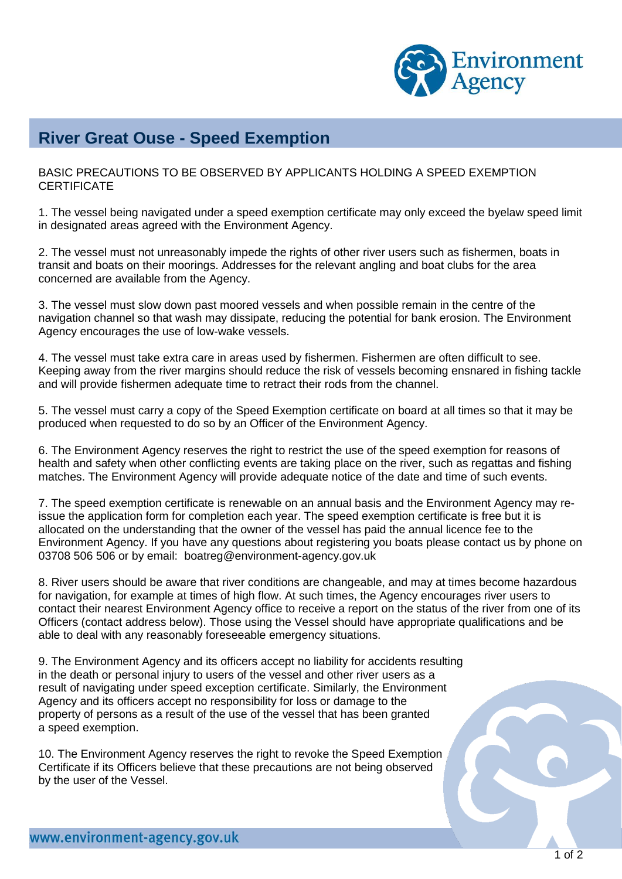

## **River Great Ouse - Speed Exemption**

BASIC PRECAUTIONS TO BE OBSERVED BY APPLICANTS HOLDING A SPEED EXEMPTION **CERTIFICATE** 

1. The vessel being navigated under a speed exemption certificate may only exceed the byelaw speed limit in designated areas agreed with the Environment Agency.

2. The vessel must not unreasonably impede the rights of other river users such as fishermen, boats in transit and boats on their moorings. Addresses for the relevant angling and boat clubs for the area concerned are available from the Agency.

3. The vessel must slow down past moored vessels and when possible remain in the centre of the navigation channel so that wash may dissipate, reducing the potential for bank erosion. The Environment Agency encourages the use of low-wake vessels.

4. The vessel must take extra care in areas used by fishermen. Fishermen are often difficult to see. Keeping away from the river margins should reduce the risk of vessels becoming ensnared in fishing tackle and will provide fishermen adequate time to retract their rods from the channel.

5. The vessel must carry a copy of the Speed Exemption certificate on board at all times so that it may be produced when requested to do so by an Officer of the Environment Agency.

6. The Environment Agency reserves the right to restrict the use of the speed exemption for reasons of health and safety when other conflicting events are taking place on the river, such as regattas and fishing matches. The Environment Agency will provide adequate notice of the date and time of such events.

7. The speed exemption certificate is renewable on an annual basis and the Environment Agency may reissue the application form for completion each year. The speed exemption certificate is free but it is allocated on the understanding that the owner of the vessel has paid the annual licence fee to the Environment Agency. If you have any questions about registering you boats please contact us by phone on 03708 506 506 or by email: [boatreg@environment-agency.gov.uk](mailto:boatreg@environment-agency.gov.uk)

8. River users should be aware that river conditions are changeable, and may at times become hazardous for navigation, for example at times of high flow. At such times, the Agency encourages river users to contact their nearest Environment Agency office to receive a report on the status of the river from one of its Officers (contact address below). Those using the Vessel should have appropriate qualifications and be able to deal with any reasonably foreseeable emergency situations.

9. The Environment Agency and its officers accept no liability for accidents resulting in the death or personal injury to users of the vessel and other river users as a result of navigating under speed exception certificate. Similarly, the Environment Agency and its officers accept no responsibility for loss or damage to the property of persons as a result of the use of the vessel that has been granted a speed exemption.

10. The Environment Agency reserves the right to revoke the Speed Exemption Certificate if its Officers believe that these precautions are not being observed by the user of the Vessel.